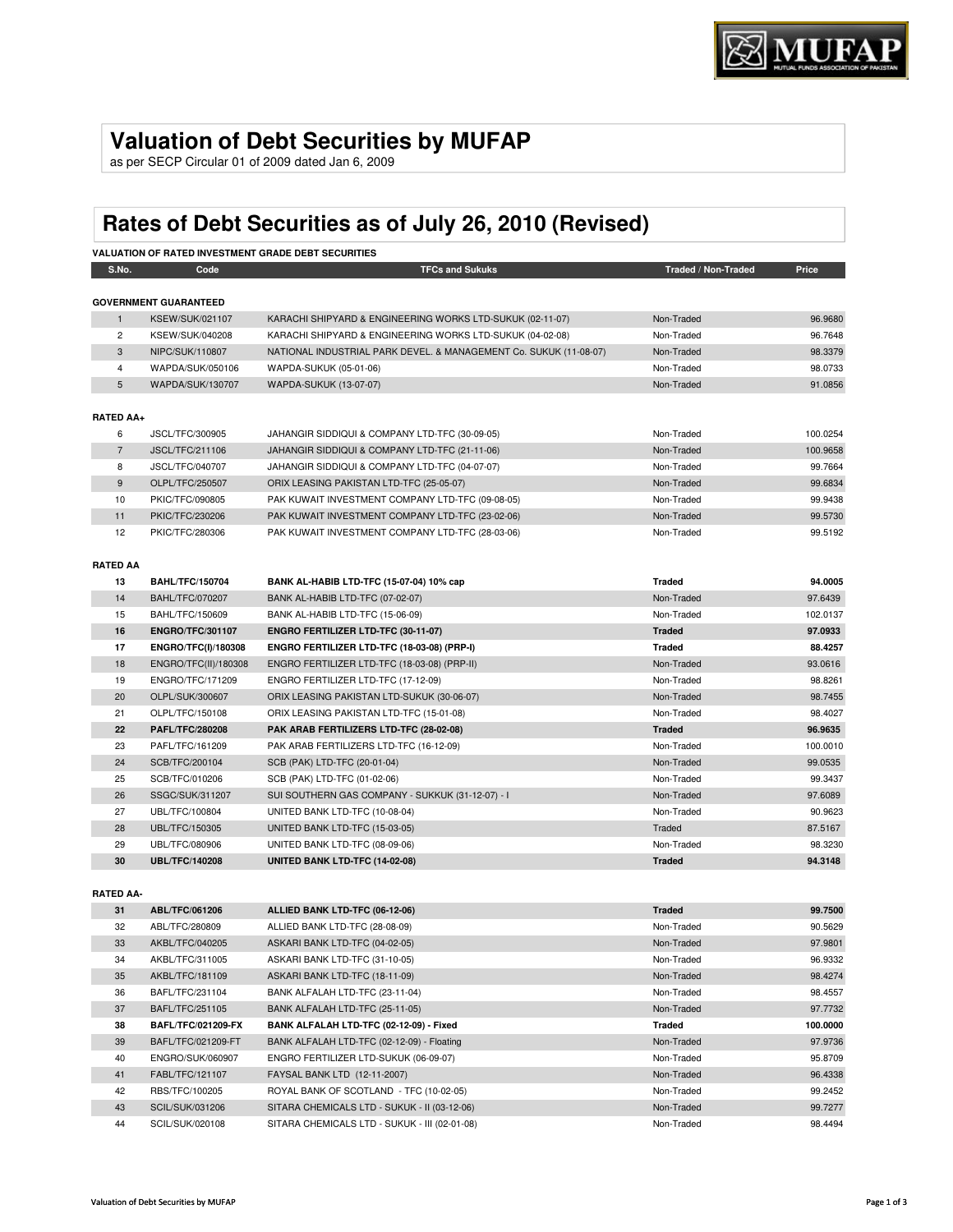## **Valuation of Debt Securities by MUFAP**

as per SECP Circular 01 of 2009 dated Jan 6, 2009

# **Rates of Debt Securities as of July 26, 2010 (Revised)**

|                  |                              | <b>VALUATION OF RATED INVESTMENT GRADE DEBT SECURITIES</b>        |                     |          |
|------------------|------------------------------|-------------------------------------------------------------------|---------------------|----------|
| S.No.            | Code                         | <b>TFCs and Sukuks</b>                                            | Traded / Non-Traded | Price    |
|                  | <b>GOVERNMENT GUARANTEED</b> |                                                                   |                     |          |
| $\mathbf{1}$     | <b>KSEW/SUK/021107</b>       | KARACHI SHIPYARD & ENGINEERING WORKS LTD-SUKUK (02-11-07)         | Non-Traded          | 96.9680  |
| $\overline{2}$   | KSEW/SUK/040208              | KARACHI SHIPYARD & ENGINEERING WORKS LTD-SUKUK (04-02-08)         | Non-Traded          | 96.7648  |
| 3                | NIPC/SUK/110807              | NATIONAL INDUSTRIAL PARK DEVEL. & MANAGEMENT Co. SUKUK (11-08-07) | Non-Traded          | 98.3379  |
| $\overline{4}$   | WAPDA/SUK/050106             | WAPDA-SUKUK (05-01-06)                                            | Non-Traded          | 98.0733  |
| 5                | WAPDA/SUK/130707             | WAPDA-SUKUK (13-07-07)                                            | Non-Traded          | 91.0856  |
| <b>RATED AA+</b> |                              |                                                                   |                     |          |
| 6                | JSCL/TFC/300905              | JAHANGIR SIDDIQUI & COMPANY LTD-TFC (30-09-05)                    | Non-Traded          | 100.0254 |
| $\overline{7}$   | JSCL/TFC/211106              | JAHANGIR SIDDIQUI & COMPANY LTD-TFC (21-11-06)                    | Non-Traded          | 100.9658 |
| 8                | JSCL/TFC/040707              | JAHANGIR SIDDIQUI & COMPANY LTD-TFC (04-07-07)                    | Non-Traded          | 99.7664  |
| 9                | OLPL/TFC/250507              | ORIX LEASING PAKISTAN LTD-TFC (25-05-07)                          | Non-Traded          | 99.6834  |
| 10               | PKIC/TFC/090805              | PAK KUWAIT INVESTMENT COMPANY LTD-TFC (09-08-05)                  | Non-Traded          | 99.9438  |
| 11               | PKIC/TFC/230206              | PAK KUWAIT INVESTMENT COMPANY LTD-TFC (23-02-06)                  | Non-Traded          | 99.5730  |
| 12               | PKIC/TFC/280306              | PAK KUWAIT INVESTMENT COMPANY LTD-TFC (28-03-06)                  | Non-Traded          | 99.5192  |
|                  |                              |                                                                   |                     |          |
| <b>RATED AA</b>  |                              |                                                                   |                     |          |
| 13               | <b>BAHL/TFC/150704</b>       | BANK AL-HABIB LTD-TFC (15-07-04) 10% cap                          | <b>Traded</b>       | 94.0005  |
| 14               | <b>BAHL/TFC/070207</b>       | BANK AL-HABIB LTD-TFC (07-02-07)                                  | Non-Traded          | 97.6439  |
| 15               | BAHL/TFC/150609              | BANK AL-HABIB LTD-TFC (15-06-09)                                  | Non-Traded          | 102.0137 |
| 16               | <b>ENGRO/TFC/301107</b>      | ENGRO FERTILIZER LTD-TFC (30-11-07)                               | <b>Traded</b>       | 97.0933  |
| 17               | ENGRO/TFC(I)/180308          | ENGRO FERTILIZER LTD-TFC (18-03-08) (PRP-I)                       | <b>Traded</b>       | 88.4257  |
| 18               | ENGRO/TFC(II)/180308         | ENGRO FERTILIZER LTD-TFC (18-03-08) (PRP-II)                      | Non-Traded          | 93.0616  |
| 19               | ENGRO/TFC/171209             | ENGRO FERTILIZER LTD-TFC (17-12-09)                               | Non-Traded          | 98.8261  |
| 20               | OLPL/SUK/300607              | ORIX LEASING PAKISTAN LTD-SUKUK (30-06-07)                        | Non-Traded          | 98.7455  |
| 21               | OLPL/TFC/150108              | ORIX LEASING PAKISTAN LTD-TFC (15-01-08)                          | Non-Traded          | 98.4027  |
| 22               | <b>PAFL/TFC/280208</b>       | PAK ARAB FERTILIZERS LTD-TFC (28-02-08)                           | <b>Traded</b>       | 96.9635  |
| 23               | PAFL/TFC/161209              | PAK ARAB FERTILIZERS LTD-TFC (16-12-09)                           | Non-Traded          | 100.0010 |
| 24               | SCB/TFC/200104               | SCB (PAK) LTD-TFC (20-01-04)                                      | Non-Traded          | 99.0535  |
| 25               | SCB/TFC/010206               | SCB (PAK) LTD-TFC (01-02-06)                                      | Non-Traded          | 99.3437  |
| 26               | SSGC/SUK/311207              | SUI SOUTHERN GAS COMPANY - SUKKUK (31-12-07) - I                  | Non-Traded          | 97.6089  |
| 27               | UBL/TFC/100804               | UNITED BANK LTD-TFC (10-08-04)                                    | Non-Traded          | 90.9623  |
| 28               | UBL/TFC/150305               | UNITED BANK LTD-TFC (15-03-05)                                    | Traded              | 87.5167  |
| 29               | UBL/TFC/080906               | UNITED BANK LTD-TFC (08-09-06)                                    | Non-Traded          | 98.3230  |
| 30               | <b>UBL/TFC/140208</b>        | UNITED BANK LTD-TFC (14-02-08)                                    | <b>Traded</b>       | 94.3148  |
|                  |                              |                                                                   |                     |          |
| <b>RATED AA-</b> |                              |                                                                   |                     |          |
| 31               | ABL/TFC/061206               | ALLIED BANK LTD-TFC (06-12-06)                                    | <b>Traded</b>       | 99.7500  |
| 32               | ABL/TFC/280809               | ALLIED BANK LTD-TFC (28-08-09)                                    | Non-Traded          | 90.5629  |
| 33               | AKBL/TFC/040205              | ASKARI BANK LTD-TFC (04-02-05)                                    | Non-Traded          | 97.9801  |

| 31 | ABL/IFC/061206            | ALLIED BANK LTD-TFC (06-12-06)               | Traded     | 99.7500  |
|----|---------------------------|----------------------------------------------|------------|----------|
| 32 | ABL/TFC/280809            | ALLIED BANK LTD-TFC (28-08-09)               | Non-Traded | 90.5629  |
| 33 | AKBL/TFC/040205           | ASKARI BANK LTD-TFC (04-02-05)               | Non-Traded | 97.9801  |
| 34 | AKBL/TFC/311005           | ASKARI BANK LTD-TFC (31-10-05)               | Non-Traded | 96.9332  |
| 35 | AKBL/TFC/181109           | ASKARI BANK LTD-TFC (18-11-09)               | Non-Traded | 98.4274  |
| 36 | BAFL/TFC/231104           | BANK ALFALAH LTD-TFC (23-11-04)              | Non-Traded | 98.4557  |
| 37 | BAFL/TFC/251105           | BANK ALFALAH LTD-TFC (25-11-05)              | Non-Traded | 97.7732  |
|    |                           |                                              |            |          |
| 38 | <b>BAFL/TFC/021209-FX</b> | BANK ALFALAH LTD-TFC (02-12-09) - Fixed      | Traded     | 100.0000 |
| 39 | BAFL/TFC/021209-FT        | BANK ALFALAH LTD-TFC (02-12-09) - Floating   | Non-Traded | 97.9736  |
| 40 | ENGRO/SUK/060907          | ENGRO FERTILIZER LTD-SUKUK (06-09-07)        | Non-Traded | 95.8709  |
| 41 | FABL/TFC/121107           | FAYSAL BANK LTD (12-11-2007)                 | Non-Traded | 96.4338  |
| 42 | RBS/TFC/100205            | ROYAL BANK OF SCOTLAND - TFC (10-02-05)      | Non-Traded | 99.2452  |
| 43 | SCIL/SUK/031206           | SITARA CHEMICALS LTD - SUKUK - II (03-12-06) | Non-Traded | 99.7277  |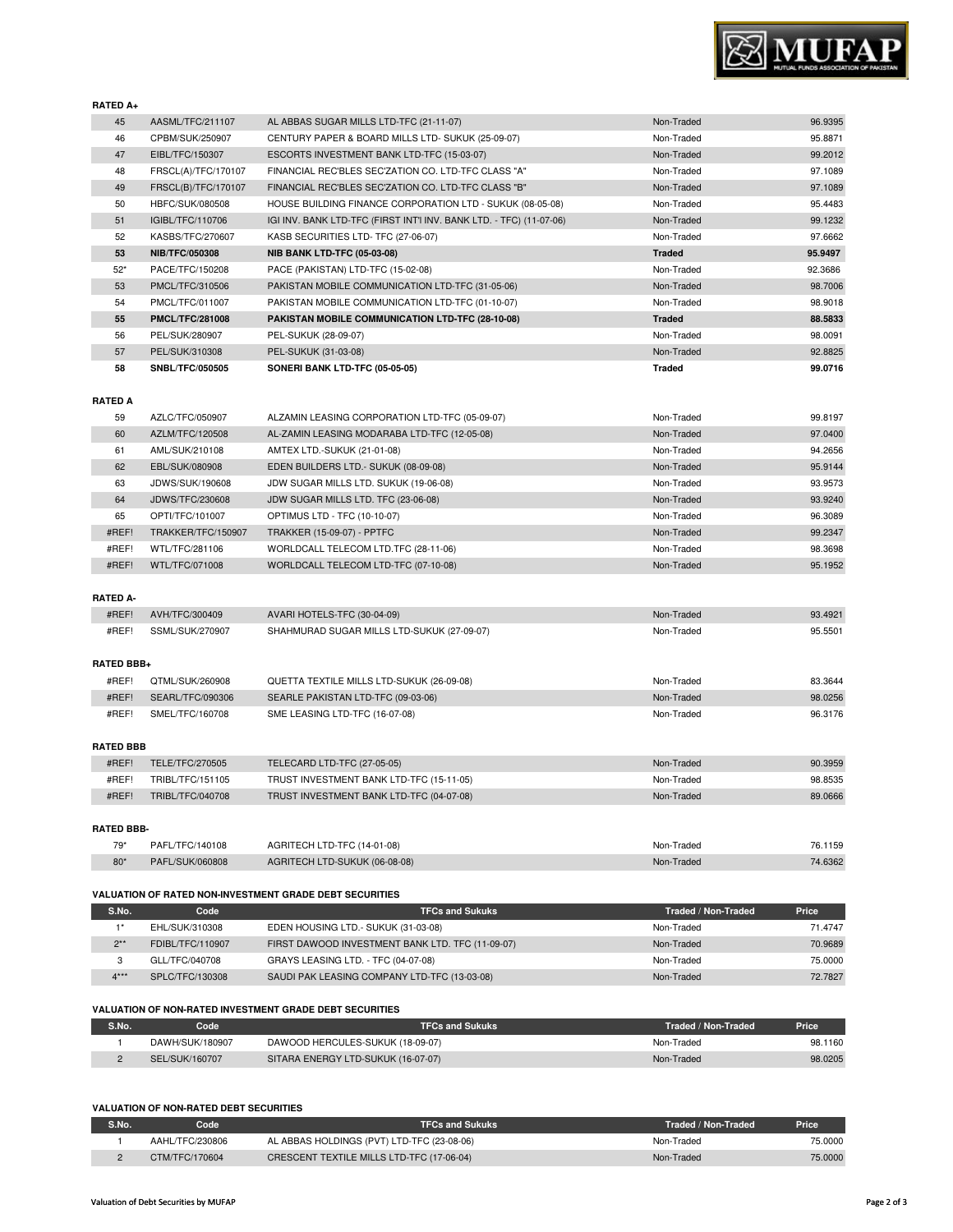### **VALUATION OF NON-RATED DEBT SECURITIES**

| S.No. | Code            | <b>TFCs and Sukuks</b>                     | Traded / Non-Traded | <b>Price</b> |  |
|-------|-----------------|--------------------------------------------|---------------------|--------------|--|
|       | AAHL/TFC/230806 | AL ABBAS HOLDINGS (PVT) LTD-TFC (23-08-06) | Non-Traded          | 75.0000      |  |
|       | CTM/TFC/170604  | CRESCENT TEXTILE MILLS LTD-TFC (17-06-04)  | Non-Traded          | 75.0000      |  |

| <b>VALUATION OF NON-RATED INVESTMENT GRADE DEBT SECURITIES</b> |                 |                                    |                     |              |
|----------------------------------------------------------------|-----------------|------------------------------------|---------------------|--------------|
| S.No.                                                          | Code            | <b>TFCs and Sukuks</b>             | Traded / Non-Traded | <b>Price</b> |
|                                                                | DAWH/SUK/180907 | DAWOOD HERCULES-SUKUK (18-09-07)   | Non-Traded          | 98.1160      |
|                                                                | SEL/SUK/160707  | SITARA ENERGY LTD-SUKUK (16-07-07) | Non-Traded          | 98.0205      |

| <b>RATED BBB-</b> |                 |                               |            |         |
|-------------------|-----------------|-------------------------------|------------|---------|
| 79*               | PAFL/TFC/140108 | AGRITECH LTD-TFC (14-01-08)   | Non-Traded | 76.1159 |
| $80*$             | PAFL/SUK/060808 | AGRITECH LTD-SUKUK (06-08-08) | Non-Traded | 74.6362 |
|                   |                 |                               |            |         |

**S.No. Code TFCs and Sukuks Traded / Non-Traded Price** 1\* EHL/SUK/310308 EDEN HOUSING LTD.- SUKUK (31-03-08) Non-Traded Non-Traded 71.4747 2\*\* FDIBL/TFC/110907 FIRST DAWOOD INVESTMENT BANK LTD. TFC (11-09-07) Non-Traded 70.9689 3 GLL/TFC/040708 GRAYS LEASING LTD. - TFC (04-07-08)<br>4\*\*\* SPLC/TFC/130308 SAUDI PAK LEASING COMPANY LTD-TFC (13-03-08) Non-Traded Non-Traded 72.7827 Non-Traded 72.7827 A\*\* SPLC/TFC/130308 SAUDI PAK LEASING COMPANY LTD-TFC (13-03-08) Non-Traded Non-Traded 72.7827

#### **VALUATION OF RATED NON-INVESTMENT GRADE DEBT SECURITIES**

| #REF!             | SSML/SUK/270907  | SHAHMURAD SUGAR MILLS LTD-SUKUK (27-09-07) | Non-Traded | 95.5501 |  |
|-------------------|------------------|--------------------------------------------|------------|---------|--|
| <b>RATED BBB+</b> |                  |                                            |            |         |  |
| #REF!             | QTML/SUK/260908  | QUETTA TEXTILE MILLS LTD-SUKUK (26-09-08)  | Non-Traded | 83.3644 |  |
| #REF!             | SEARL/TFC/090306 | SEARLE PAKISTAN LTD-TFC (09-03-06)         | Non-Traded | 98.0256 |  |
| #REF!             | SMEL/TFC/160708  | SME LEASING LTD-TFC (16-07-08)             | Non-Traded | 96.3176 |  |
| <b>RATED BBB</b>  |                  |                                            |            |         |  |
| #REF!             | TELE/TFC/270505  | TELECARD LTD-TFC (27-05-05)                | Non-Traded | 90.3959 |  |
| #REF!             | TRIBL/TFC/151105 | TRUST INVESTMENT BANK LTD-TFC (15-11-05)   | Non-Traded | 98.8535 |  |
| #REF!             | TRIBL/TFC/040708 | TRUST INVESTMENT BANK LTD-TFC (04-07-08)   | Non-Traded | 89.0666 |  |
|                   |                  |                                            |            |         |  |
| <b>DATED DDD</b>  |                  |                                            |            |         |  |

## #REF! WTL/TFC/071008 WORLDCALL TELECOM LTD-TFC (07-10-08) Non-Traded 95.1952 **RATED A-** #REF! AVH/TFC/300409 AVARI HOTELS-TFC (30-04-09) Non-Traded 93.4921

| RATED A |                        |                                                |            |         |
|---------|------------------------|------------------------------------------------|------------|---------|
| 59      | AZLC/TFC/050907        | ALZAMIN LEASING CORPORATION LTD-TFC (05-09-07) | Non-Traded | 99.8197 |
| 60      | AZLM/TFC/120508        | AL-ZAMIN LEASING MODARABA LTD-TFC (12-05-08)   | Non-Traded | 97.0400 |
| 61      | AML/SUK/210108         | AMTEX LTD.-SUKUK (21-01-08)                    | Non-Traded | 94.2656 |
| 62      | EBL/SUK/080908         | EDEN BUILDERS LTD. - SUKUK (08-09-08)          | Non-Traded | 95.9144 |
| 63      | JDWS/SUK/190608        | JDW SUGAR MILLS LTD. SUKUK (19-06-08)          | Non-Traded | 93.9573 |
| 64      | <b>JDWS/TFC/230608</b> | JDW SUGAR MILLS LTD. TFC (23-06-08)            | Non-Traded | 93.9240 |
| 65      | OPTI/TFC/101007        | OPTIMUS LTD - TFC (10-10-07)                   | Non-Traded | 96.3089 |
| #REF!   | TRAKKER/TFC/150907     | TRAKKER (15-09-07) - PPTFC                     | Non-Traded | 99.2347 |
| #REF!   | WTL/TFC/281106         | WORLDCALL TELECOM LTD.TFC (28-11-06)           | Non-Traded | 98.3698 |

#### **RATED A**

| <b>RATED A+</b> |       |                        |                                                                     |               |         |
|-----------------|-------|------------------------|---------------------------------------------------------------------|---------------|---------|
|                 | 45    | AASML/TFC/211107       | AL ABBAS SUGAR MILLS LTD-TFC (21-11-07)                             | Non-Traded    | 96.9395 |
|                 | 46    | CPBM/SUK/250907        | CENTURY PAPER & BOARD MILLS LTD- SUKUK (25-09-07)                   | Non-Traded    | 95.8871 |
|                 | 47    | EIBL/TFC/150307        | ESCORTS INVESTMENT BANK LTD-TFC (15-03-07)                          | Non-Traded    | 99.2012 |
|                 | 48    | FRSCL(A)/TFC/170107    | FINANCIAL REC'BLES SEC'ZATION CO. LTD-TFC CLASS "A"                 | Non-Traded    | 97.1089 |
|                 | 49    | FRSCL(B)/TFC/170107    | FINANCIAL REC'BLES SEC'ZATION CO. LTD-TFC CLASS "B"                 | Non-Traded    | 97.1089 |
|                 | 50    | HBFC/SUK/080508        | HOUSE BUILDING FINANCE CORPORATION LTD - SUKUK (08-05-08)           | Non-Traded    | 95.4483 |
|                 | 51    | IGIBL/TFC/110706       | IGI INV. BANK LTD-TFC (FIRST INT'I INV. BANK LTD. - TFC) (11-07-06) | Non-Traded    | 99.1232 |
|                 | 52    | KASBS/TFC/270607       | KASB SECURITIES LTD- TFC (27-06-07)                                 | Non-Traded    | 97.6662 |
|                 | 53    | <b>NIB/TFC/050308</b>  | <b>NIB BANK LTD-TFC (05-03-08)</b>                                  | <b>Traded</b> | 95.9497 |
|                 | $52*$ | PACE/TFC/150208        | PACE (PAKISTAN) LTD-TFC (15-02-08)                                  | Non-Traded    | 92.3686 |
|                 | 53    | PMCL/TFC/310506        | PAKISTAN MOBILE COMMUNICATION LTD-TFC (31-05-06)                    | Non-Traded    | 98.7006 |
|                 | 54    | PMCL/TFC/011007        | PAKISTAN MOBILE COMMUNICATION LTD-TFC (01-10-07)                    | Non-Traded    | 98.9018 |
|                 | 55    | <b>PMCL/TFC/281008</b> | PAKISTAN MOBILE COMMUNICATION LTD-TFC (28-10-08)                    | <b>Traded</b> | 88.5833 |
|                 | 56    | PEL/SUK/280907         | PEL-SUKUK (28-09-07)                                                | Non-Traded    | 98.0091 |
|                 | 57    | PEL/SUK/310308         | PEL-SUKUK (31-03-08)                                                | Non-Traded    | 92.8825 |
|                 | 58    | <b>SNBL/TFC/050505</b> | <b>SONERI BANK LTD-TFC (05-05-05)</b>                               | Traded        | 99.0716 |